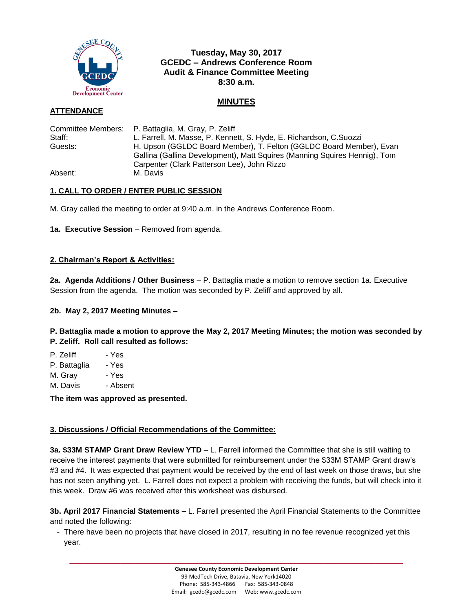

# **Tuesday, May 30, 2017 GCEDC – Andrews Conference Room Audit & Finance Committee Meeting 8:30 a.m.**

### **MINUTES**

### **ATTENDANCE**

|         | Committee Members:  P. Battaglia, M. Gray, P. Zeliff                                                                                             |
|---------|--------------------------------------------------------------------------------------------------------------------------------------------------|
| Staff:  | L. Farrell, M. Masse, P. Kennett, S. Hyde, E. Richardson, C.Suozzi                                                                               |
| Guests: | H. Upson (GGLDC Board Member), T. Felton (GGLDC Board Member), Evan<br>Gallina (Gallina Development), Matt Squires (Manning Squires Hennig), Tom |
|         | Carpenter (Clark Patterson Lee), John Rizzo                                                                                                      |
| Absent: | M. Davis                                                                                                                                         |

## **1. CALL TO ORDER / ENTER PUBLIC SESSION**

M. Gray called the meeting to order at 9:40 a.m. in the Andrews Conference Room.

**1a. Executive Session** – Removed from agenda.

#### **2. Chairman's Report & Activities:**

**2a. Agenda Additions / Other Business** – P. Battaglia made a motion to remove section 1a. Executive Session from the agenda. The motion was seconded by P. Zeliff and approved by all.

#### **2b. May 2, 2017 Meeting Minutes –**

**P. Battaglia made a motion to approve the May 2, 2017 Meeting Minutes; the motion was seconded by P. Zeliff. Roll call resulted as follows:**

P. Zeliff - Yes P. Battaglia - Yes M. Gray - Yes

M. Davis - Absent

**The item was approved as presented.**

#### **3. Discussions / Official Recommendations of the Committee:**

**3a. \$33M STAMP Grant Draw Review YTD** – L. Farrell informed the Committee that she is still waiting to receive the interest payments that were submitted for reimbursement under the \$33M STAMP Grant draw's #3 and #4. It was expected that payment would be received by the end of last week on those draws, but she has not seen anything yet. L. Farrell does not expect a problem with receiving the funds, but will check into it this week. Draw #6 was received after this worksheet was disbursed.

**3b. April 2017 Financial Statements –** L. Farrell presented the April Financial Statements to the Committee and noted the following:

- There have been no projects that have closed in 2017, resulting in no fee revenue recognized yet this year.

**\_\_\_\_\_\_\_\_\_\_\_\_\_\_\_\_\_\_\_\_\_\_\_\_\_\_\_\_\_\_\_\_\_\_\_\_\_\_\_\_\_\_\_\_\_\_\_\_\_\_\_\_\_\_\_\_\_\_\_\_\_\_\_\_\_\_\_\_\_\_\_\_**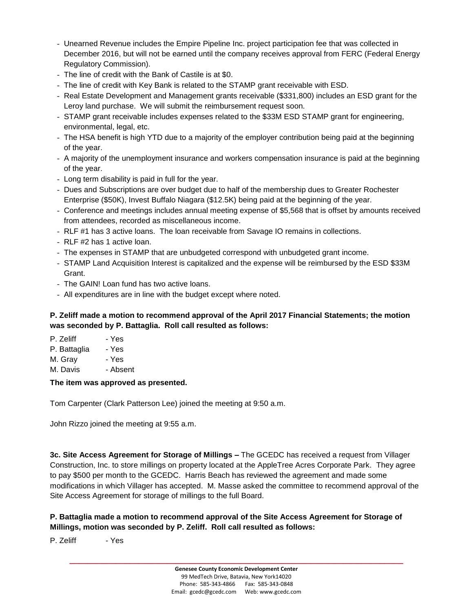- Unearned Revenue includes the Empire Pipeline Inc. project participation fee that was collected in December 2016, but will not be earned until the company receives approval from FERC (Federal Energy Regulatory Commission).
- The line of credit with the Bank of Castile is at \$0.
- The line of credit with Key Bank is related to the STAMP grant receivable with ESD.
- Real Estate Development and Management grants receivable (\$331,800) includes an ESD grant for the Leroy land purchase. We will submit the reimbursement request soon.
- STAMP grant receivable includes expenses related to the \$33M ESD STAMP grant for engineering, environmental, legal, etc.
- The HSA benefit is high YTD due to a majority of the employer contribution being paid at the beginning of the year.
- A majority of the unemployment insurance and workers compensation insurance is paid at the beginning of the year.
- Long term disability is paid in full for the year.
- Dues and Subscriptions are over budget due to half of the membership dues to Greater Rochester Enterprise (\$50K), Invest Buffalo Niagara (\$12.5K) being paid at the beginning of the year.
- Conference and meetings includes annual meeting expense of \$5,568 that is offset by amounts received from attendees, recorded as miscellaneous income.
- RLF #1 has 3 active loans. The loan receivable from Savage IO remains in collections.
- RLF #2 has 1 active loan.
- The expenses in STAMP that are unbudgeted correspond with unbudgeted grant income.
- STAMP Land Acquisition Interest is capitalized and the expense will be reimbursed by the ESD \$33M Grant.
- The GAIN! Loan fund has two active loans.
- All expenditures are in line with the budget except where noted.

### **P. Zeliff made a motion to recommend approval of the April 2017 Financial Statements; the motion was seconded by P. Battaglia. Roll call resulted as follows:**

- P. Zeliff Yes
- P. Battaglia Yes
- M. Gray Yes
- M. Davis Absent

#### **The item was approved as presented.**

Tom Carpenter (Clark Patterson Lee) joined the meeting at 9:50 a.m.

John Rizzo joined the meeting at 9:55 a.m.

**3c. Site Access Agreement for Storage of Millings –** The GCEDC has received a request from Villager Construction, Inc. to store millings on property located at the AppleTree Acres Corporate Park. They agree to pay \$500 per month to the GCEDC. Harris Beach has reviewed the agreement and made some modifications in which Villager has accepted. M. Masse asked the committee to recommend approval of the Site Access Agreement for storage of millings to the full Board.

## **P. Battaglia made a motion to recommend approval of the Site Access Agreement for Storage of Millings, motion was seconded by P. Zeliff. Roll call resulted as follows:**

P. Zeliff - Yes

**\_\_\_\_\_\_\_\_\_\_\_\_\_\_\_\_\_\_\_\_\_\_\_\_\_\_\_\_\_\_\_\_\_\_\_\_\_\_\_\_\_\_\_\_\_\_\_\_\_\_\_\_\_\_\_\_\_\_\_\_\_\_\_\_\_\_\_\_\_\_\_\_**